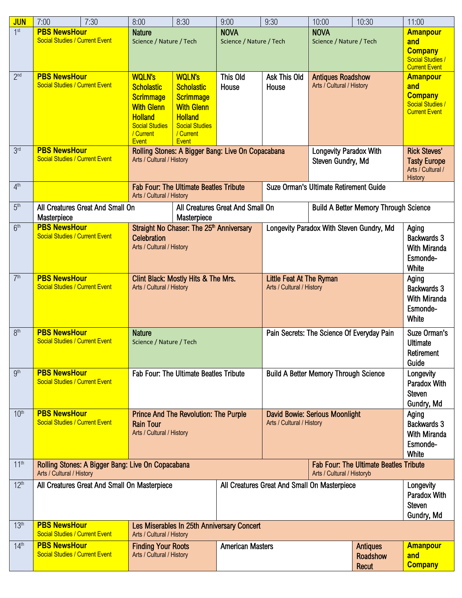| <b>JUN</b>       | 7:00                                                                                                                                                          | 7:30 | 8:00                                                   | 8:30                                  | 9:00                                              | 9:30                                          | 10:00                                        | 10:30                    | 11:00                                   |  |
|------------------|---------------------------------------------------------------------------------------------------------------------------------------------------------------|------|--------------------------------------------------------|---------------------------------------|---------------------------------------------------|-----------------------------------------------|----------------------------------------------|--------------------------|-----------------------------------------|--|
| 1 <sup>st</sup>  | <b>PBS NewsHour</b>                                                                                                                                           |      | <b>Nature</b>                                          |                                       | <b>NOVA</b>                                       |                                               | <b>NOVA</b>                                  |                          | <b>Amanpour</b>                         |  |
|                  | <b>Social Studies / Current Event</b>                                                                                                                         |      | Science / Nature / Tech                                |                                       | Science / Nature / Tech                           |                                               | Science / Nature / Tech                      |                          | and                                     |  |
|                  |                                                                                                                                                               |      |                                                        |                                       |                                                   |                                               |                                              |                          | <b>Company</b><br>Social Studies /      |  |
|                  |                                                                                                                                                               |      |                                                        |                                       |                                                   |                                               |                                              |                          | <b>Current Event</b><br><b>Amanpour</b> |  |
| 2 <sup>nd</sup>  | <b>PBS NewsHour</b><br><b>Social Studies / Current Event</b>                                                                                                  |      | <b>WQLN's</b>                                          | <b>WQLN's</b><br>This Old             |                                                   | Ask This Old                                  |                                              | <b>Antiques Roadshow</b> |                                         |  |
|                  |                                                                                                                                                               |      | <b>Scholastic</b>                                      | <b>Scholastic</b>                     | House                                             | House                                         | Arts / Cultural / History                    |                          | and<br><b>Company</b>                   |  |
|                  |                                                                                                                                                               |      | <b>Scrimmage</b><br><b>With Glenn</b>                  | <b>Scrimmage</b><br><b>With Glenn</b> |                                                   |                                               |                                              |                          | Social Studies /                        |  |
|                  |                                                                                                                                                               |      | <b>Holland</b>                                         | <b>Holland</b>                        |                                                   |                                               |                                              |                          | <b>Current Event</b>                    |  |
|                  |                                                                                                                                                               |      | <b>Social Studies</b>                                  | <b>Social Studies</b>                 |                                                   |                                               |                                              |                          |                                         |  |
|                  |                                                                                                                                                               |      | / Current<br><b>Event</b>                              | / Current<br><b>Event</b>             |                                                   |                                               |                                              |                          |                                         |  |
| 3 <sup>rd</sup>  | <b>PBS NewsHour</b>                                                                                                                                           |      |                                                        |                                       | Rolling Stones: A Bigger Bang: Live On Copacabana | Longevity Paradox With                        |                                              |                          | <b>Rick Steves'</b>                     |  |
|                  | <b>Social Studies / Current Event</b>                                                                                                                         |      | Arts / Cultural / History                              |                                       |                                                   |                                               | Steven Gundry, Md                            |                          | <b>Tasty Europe</b>                     |  |
|                  |                                                                                                                                                               |      |                                                        |                                       |                                                   |                                               |                                              |                          | Arts / Cultural /                       |  |
| 4 <sup>th</sup>  |                                                                                                                                                               |      | <b>Fab Four: The Ultimate Beatles Tribute</b>          |                                       |                                                   | <b>Suze Orman's Ultimate Retirement Guide</b> |                                              |                          | <b>History</b>                          |  |
|                  |                                                                                                                                                               |      | Arts / Cultural / History                              |                                       |                                                   |                                               |                                              |                          |                                         |  |
| 5 <sup>th</sup>  | All Creatures Great And Small On                                                                                                                              |      | All Creatures Great And Small On                       |                                       |                                                   | <b>Build A Better Memory Through Science</b>  |                                              |                          |                                         |  |
|                  | Masterpiece<br><b>PBS NewsHour</b>                                                                                                                            |      | Masterpiece                                            |                                       |                                                   |                                               |                                              |                          |                                         |  |
| 6 <sup>th</sup>  | <b>Social Studies / Current Event</b>                                                                                                                         |      | Straight No Chaser: The 25 <sup>th</sup> Anniversary   |                                       |                                                   | Longevity Paradox With Steven Gundry, Md      |                                              |                          | Aging<br>Backwards 3                    |  |
|                  |                                                                                                                                                               |      | Celebration<br>Arts / Cultural / History               |                                       |                                                   |                                               |                                              |                          | With Miranda                            |  |
|                  |                                                                                                                                                               |      |                                                        |                                       |                                                   |                                               |                                              |                          | Esmonde-                                |  |
|                  |                                                                                                                                                               |      |                                                        |                                       |                                                   |                                               | White                                        |                          |                                         |  |
| 7 <sup>th</sup>  | <b>PBS NewsHour</b>                                                                                                                                           |      |                                                        | Clint Black: Mostly Hits & The Mrs.   |                                                   |                                               | <b>Little Feat At The Ryman</b>              |                          |                                         |  |
|                  | <b>Social Studies / Current Event</b>                                                                                                                         |      | Arts / Cultural / History                              |                                       |                                                   | Arts / Cultural / History                     |                                              |                          | Backwards 3                             |  |
|                  |                                                                                                                                                               |      |                                                        |                                       |                                                   |                                               | With Miranda<br>Esmonde-                     |                          |                                         |  |
|                  |                                                                                                                                                               |      |                                                        |                                       |                                                   |                                               |                                              |                          |                                         |  |
|                  |                                                                                                                                                               |      |                                                        |                                       |                                                   | Pain Secrets: The Science Of Everyday Pain    |                                              |                          | White                                   |  |
| 8 <sup>th</sup>  | <b>PBS NewsHour</b><br><b>Social Studies / Current Event</b>                                                                                                  |      | <b>Nature</b><br>Science / Nature / Tech               |                                       |                                                   |                                               | Suze Orman's<br><b>Ultimate</b>              |                          |                                         |  |
|                  |                                                                                                                                                               |      |                                                        |                                       |                                                   |                                               |                                              |                          |                                         |  |
|                  |                                                                                                                                                               |      |                                                        |                                       |                                                   |                                               | Retirement<br>Guide                          |                          |                                         |  |
| gth              | <b>PBS NewsHour</b>                                                                                                                                           |      | <b>Fab Four: The Ultimate Beatles Tribute</b>          |                                       |                                                   | <b>Build A Better Memory Through Science</b>  |                                              |                          | Longevity                               |  |
|                  | <b>Social Studies / Current Event</b><br><b>PBS NewsHour</b>                                                                                                  |      |                                                        |                                       |                                                   |                                               | Paradox With                                 |                          |                                         |  |
|                  |                                                                                                                                                               |      |                                                        |                                       |                                                   |                                               | <b>Steven</b>                                |                          |                                         |  |
| 10 <sup>th</sup> |                                                                                                                                                               |      | <b>Prince And The Revolution: The Purple</b>           |                                       |                                                   | David Bowie: Serious Moonlight                |                                              |                          | Gundry, Md<br>Aging                     |  |
|                  | <b>Social Studies / Current Event</b>                                                                                                                         |      | <b>Rain Tour</b>                                       |                                       |                                                   | Arts / Cultural / History                     |                                              |                          | Backwards 3                             |  |
|                  |                                                                                                                                                               |      |                                                        | Arts / Cultural / History             |                                                   |                                               |                                              |                          |                                         |  |
|                  |                                                                                                                                                               |      |                                                        |                                       |                                                   |                                               |                                              |                          | Esmonde-                                |  |
|                  |                                                                                                                                                               |      |                                                        |                                       |                                                   |                                               |                                              |                          | White                                   |  |
| 11 <sup>th</sup> | <b>Fab Four: The Ultimate Beatles Tribute</b><br>Rolling Stones: A Bigger Bang: Live On Copacabana<br>Arts / Cultural / History<br>Arts / Cultural / Historyb |      |                                                        |                                       |                                                   |                                               |                                              |                          |                                         |  |
| 12 <sup>th</sup> | All Creatures Great And Small On Masterpiece                                                                                                                  |      |                                                        |                                       |                                                   |                                               | All Creatures Great And Small On Masterpiece |                          |                                         |  |
|                  |                                                                                                                                                               |      |                                                        |                                       |                                                   |                                               | Paradox With                                 |                          |                                         |  |
|                  |                                                                                                                                                               |      |                                                        |                                       |                                                   |                                               |                                              |                          | <b>Steven</b><br>Gundry, Md             |  |
| 13 <sup>th</sup> | <b>PBS NewsHour</b><br>Les Miserables In 25th Anniversary Concert                                                                                             |      |                                                        |                                       |                                                   |                                               |                                              |                          |                                         |  |
|                  | <b>Social Studies / Current Event</b>                                                                                                                         |      | Arts / Cultural / History                              |                                       |                                                   |                                               |                                              |                          |                                         |  |
| 14 <sup>th</sup> | <b>PBS NewsHour</b><br><b>Social Studies / Current Event</b>                                                                                                  |      | <b>Finding Your Roots</b><br>Arts / Cultural / History |                                       | <b>American Masters</b>                           |                                               |                                              | <b>Antiques</b>          | <b>Amanpour</b><br>and                  |  |
|                  |                                                                                                                                                               |      |                                                        |                                       |                                                   |                                               | <b>Roadshow</b><br>Recut                     |                          | <b>Company</b>                          |  |
|                  |                                                                                                                                                               |      |                                                        |                                       |                                                   |                                               |                                              |                          |                                         |  |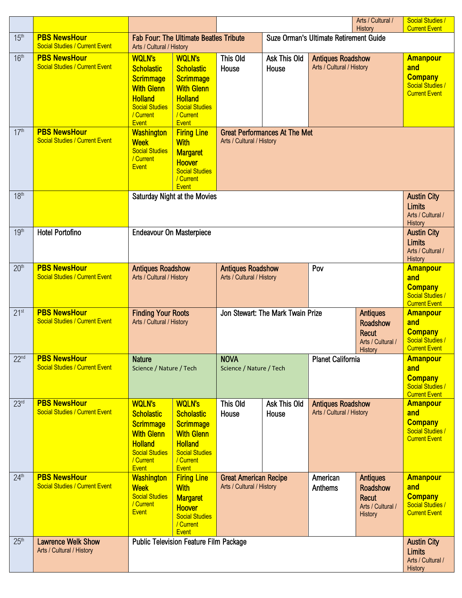|                  |                                                              |                                                                                                                                                                                                                                                                                            |                                                                                                                                                     |                                                                                                                         |                                                              |                                                       | Arts / Cultural /<br>History                                                                | <b>Social Studies /</b><br><b>Current Event</b>                                             |
|------------------|--------------------------------------------------------------|--------------------------------------------------------------------------------------------------------------------------------------------------------------------------------------------------------------------------------------------------------------------------------------------|-----------------------------------------------------------------------------------------------------------------------------------------------------|-------------------------------------------------------------------------------------------------------------------------|--------------------------------------------------------------|-------------------------------------------------------|---------------------------------------------------------------------------------------------|---------------------------------------------------------------------------------------------|
| 15 <sup>th</sup> | <b>PBS NewsHour</b><br><b>Social Studies / Current Event</b> | Arts / Cultural / History                                                                                                                                                                                                                                                                  | <b>Fab Four: The Ultimate Beatles Tribute</b>                                                                                                       |                                                                                                                         | Suze Orman's Ultimate Retirement Guide                       |                                                       |                                                                                             |                                                                                             |
| 16 <sup>th</sup> | <b>PBS NewsHour</b><br><b>Social Studies / Current Event</b> | <b>WQLN's</b><br><b>Scholastic</b><br>Scrimmage<br><b>With Glenn</b><br><b>Holland</b><br><b>Social Studies</b><br>/ Current<br><b>Event</b>                                                                                                                                               | <b>WQLN's</b><br><b>Scholastic</b><br><b>Scrimmage</b><br><b>With Glenn</b><br><b>Holland</b><br><b>Social Studies</b><br>/ Current<br><b>Event</b> | This Old<br>House                                                                                                       | Ask This Old<br>House                                        | <b>Antiques Roadshow</b><br>Arts / Cultural / History |                                                                                             | <b>Amanpour</b><br>and<br><b>Company</b><br><b>Social Studies /</b><br><b>Current Event</b> |
| 17 <sup>th</sup> | <b>PBS NewsHour</b><br><b>Social Studies / Current Event</b> | <b>Washington</b><br><b>Firing Line</b><br><b>Great Performances At The Met</b><br>Arts / Cultural / History<br><b>Week</b><br><b>With</b><br><b>Social Studies</b><br><b>Margaret</b><br>/ Current<br><b>Hoover</b><br><b>Event</b><br><b>Social Studies</b><br>/ Current<br><b>Event</b> |                                                                                                                                                     |                                                                                                                         |                                                              |                                                       |                                                                                             |                                                                                             |
| 18 <sup>th</sup> |                                                              | Saturday Night at the Movies                                                                                                                                                                                                                                                               | <b>Austin City</b><br><b>Limits</b><br>Arts / Cultural /<br>History                                                                                 |                                                                                                                         |                                                              |                                                       |                                                                                             |                                                                                             |
| 19 <sup>th</sup> | <b>Hotel Portofino</b>                                       | <b>Endeavour On Masterpiece</b>                                                                                                                                                                                                                                                            |                                                                                                                                                     |                                                                                                                         |                                                              |                                                       |                                                                                             | <b>Austin City</b><br><b>Limits</b><br>Arts / Cultural /<br>History                         |
| 20 <sup>th</sup> | <b>PBS NewsHour</b><br><b>Social Studies / Current Event</b> | <b>Antiques Roadshow</b><br>Arts / Cultural / History                                                                                                                                                                                                                                      |                                                                                                                                                     |                                                                                                                         | <b>Antiques Roadshow</b><br>Pov<br>Arts / Cultural / History |                                                       |                                                                                             | <b>Amanpour</b><br>and<br><b>Company</b><br><b>Social Studies /</b><br><b>Current Event</b> |
| 21 <sup>st</sup> | <b>PBS NewsHour</b><br><b>Social Studies / Current Event</b> | <b>Finding Your Roots</b><br>Arts / Cultural / History                                                                                                                                                                                                                                     |                                                                                                                                                     | Jon Stewart: The Mark Twain Prize<br><b>Antiques</b><br>Roadshow<br><b>Recut</b><br>Arts / Cultural /<br><b>History</b> |                                                              |                                                       | <b>Amanpour</b><br>and<br><b>Company</b><br><b>Social Studies /</b><br><b>Current Event</b> |                                                                                             |
| 22 <sup>nd</sup> | <b>PBS NewsHour</b><br><b>Social Studies / Current Event</b> | <b>Nature</b><br>Science / Nature / Tech                                                                                                                                                                                                                                                   |                                                                                                                                                     | <b>NOVA</b><br><b>Planet California</b><br>Science / Nature / Tech                                                      |                                                              |                                                       |                                                                                             | <b>Amanpour</b><br>and<br><b>Company</b><br>Social Studies /<br><b>Current Event</b>        |
| 23 <sup>rd</sup> | <b>PBS NewsHour</b><br><b>Social Studies / Current Event</b> | <b>WQLN's</b><br><b>Scholastic</b><br><b>Scrimmage</b><br><b>With Glenn</b><br><b>Holland</b><br><b>Social Studies</b><br>/ Current<br><b>Event</b>                                                                                                                                        | <b>WQLN's</b><br><b>Scholastic</b><br><b>Scrimmage</b><br><b>With Glenn</b><br><b>Holland</b><br><b>Social Studies</b><br>/ Current<br><b>Event</b> | This Old<br>House                                                                                                       | Ask This Old<br>House                                        | <b>Antiques Roadshow</b><br>Arts / Cultural / History |                                                                                             | <b>Amanpour</b><br>and<br><b>Company</b><br><b>Social Studies /</b><br><b>Current Event</b> |
| 24 <sup>th</sup> | <b>PBS NewsHour</b><br><b>Social Studies / Current Event</b> | <b>Washington</b><br><b>Week</b><br><b>Social Studies</b><br>/ Current<br>Event                                                                                                                                                                                                            | <b>Firing Line</b><br><b>With</b><br><b>Margaret</b><br><b>Hoover</b><br><b>Social Studies</b><br>/ Current<br><b>Event</b>                         | <b>Great American Recipe</b><br>Arts / Cultural / History                                                               |                                                              | American<br>Anthems                                   | <b>Antiques</b><br>Roadshow<br><b>Recut</b><br>Arts / Cultural /<br><b>History</b>          | <b>Amanpour</b><br>and<br><b>Company</b><br><b>Social Studies /</b><br><b>Current Event</b> |
| 25 <sup>th</sup> | <b>Lawrence Welk Show</b><br>Arts / Cultural / History       | <b>Public Television Feature Film Package</b>                                                                                                                                                                                                                                              |                                                                                                                                                     |                                                                                                                         |                                                              |                                                       | <b>Austin City</b><br><b>Limits</b><br>Arts / Cultural /<br>History                         |                                                                                             |